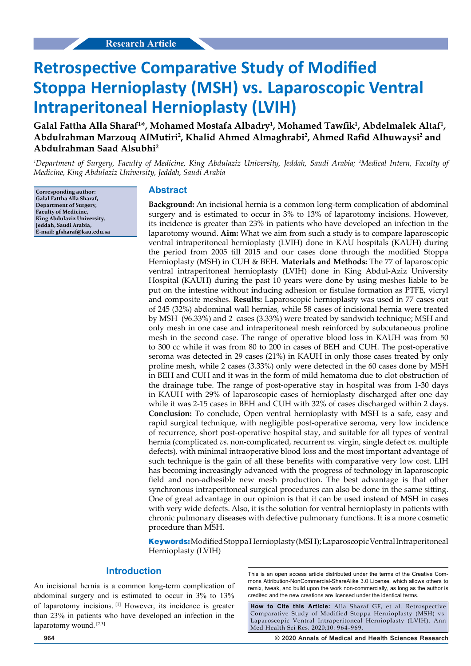# **Retrospective Comparative Study of Modified Stoppa Hernioplasty (MSH) vs. Laparoscopic Ventral Intraperitoneal Hernioplasty (LVIH)**

Galal Fattha Alla Sharaf<sup>1\*</sup>, Mohamed Mostafa Albadry<sup>1</sup>, Mohamed Tawfik<sup>1</sup>, Abdelmalek Altaf<sup>1</sup>, Abdulrahman Marzouq AlMutiri<sup>2</sup>, Khalid Ahmed Almaghrabi<sup>2</sup>, Ahmed Rafid Alhuwaysi<sup>2</sup> and **Abdulrahman Saad Alsubhi2**

*1 Department of Surgery, Faculty of Medicine, King Abdulaziz University, Jeddah, Saudi Arabia; 2 Medical Intern, Faculty of Medicine, King Abdulaziz University, Jeddah, Saudi Arabia*

**Corresponding author: Galal Fattha Alla Sharaf, Department of Surgery, Faculty of Medicine, King Abdulaziz University, Jeddah, Saudi Arabia, E-mail: gfsharaf@kau.edu.sa**

#### **Abstract**

**Background:** An incisional hernia is a common long-term complication of abdominal surgery and is estimated to occur in 3% to 13% of laparotomy incisions. However, its incidence is greater than 23% in patients who have developed an infection in the laparotomy wound. **Aim:** What we aim from such a study is to compare laparoscopic ventral intraperitoneal hernioplasty (LVIH) done in KAU hospitals (KAUH) during the period from 2005 till 2015 and our cases done through the modified Stoppa Hernioplasty (MSH) in CUH & BEH. **Materials and Methods:** The 77 of laparoscopic ventral intraperitoneal hernioplasty (LVIH) done in King Abdul-Aziz University Hospital (KAUH) during the past 10 years were done by using meshes liable to be put on the intestine without inducing adhesion or fistulae formation as PTFE, vicryl and composite meshes. **Results:** Laparoscopic hernioplasty was used in 77 cases out of 245 (32%) abdominal wall hernias, while 58 cases of incisional hernia were treated by MSH (96.33%) and 2 cases (3.33%) were treated by sandwich technique; MSH and only mesh in one case and intraperitoneal mesh reinforced by subcutaneous proline mesh in the second case. The range of operative blood loss in KAUH was from 50 to 300 cc while it was from 80 to 200 in cases of BEH and CUH. The post-operative seroma was detected in 29 cases (21%) in KAUH in only those cases treated by only proline mesh, while 2 cases (3.33%) only were detected in the 60 cases done by MSH in BEH and CUH and it was in the form of mild hematoma due to clot obstruction of the drainage tube. The range of post-operative stay in hospital was from 1-30 days in KAUH with 29% of laparoscopic cases of hernioplasty discharged after one day while it was 2-15 cases in BEH and CUH with 32% of cases discharged within 2 days. **Conclusion:** To conclude, Open ventral hernioplasty with MSH is a safe, easy and rapid surgical technique, with negligible post-operative seroma, very low incidence of recurrence, short post-operative hospital stay, and suitable for all types of ventral hernia (complicated *vs.* non-complicated, recurrent *vs.* virgin, single defect *vs.* multiple defects), with minimal intraoperative blood loss and the most important advantage of such technique is the gain of all these benefits with comparative very low cost. LIH has becoming increasingly advanced with the progress of technology in laparoscopic field and non-adhesible new mesh production. The best advantage is that other synchronous intraperitoneal surgical procedures can also be done in the same sitting. One of great advantage in our opinion is that it can be used instead of MSH in cases with very wide defects. Also, it is the solution for ventral hernioplasty in patients with chronic pulmonary diseases with defective pulmonary functions. It is a more cosmetic procedure than MSH.

**Keywords:**Modified Stoppa Hernioplasty (MSH); Laparoscopic Ventral Intraperitoneal Hernioplasty (LVIH)

#### **Introduction**

An incisional hernia is a common long-term complication of abdominal surgery and is estimated to occur in 3% to 13% of laparotomy incisions. [1] However, its incidence is greater than 23% in patients who have developed an infection in the laparotomy wound. [2,3]

This is an open access article distributed under the terms of the Creative Com‑ mons Attribution-NonCommercial-ShareAlike 3.0 License, which allows others to remix, tweak, and build upon the work non‑commercially, as long as the author is credited and the new creations are licensed under the identical terms.

**How to Cite this Article:** Alla Sharaf GF, et al. Retrospective Comparative Study of Modified Stoppa Hernioplasty (MSH) vs. Laparoscopic Ventral Intraperitoneal Hernioplasty (LVIH). Ann Med Health Sci Res. 2020;10: 964-969.

**964 © 2020 Annals of Medical and Health Sciences Research**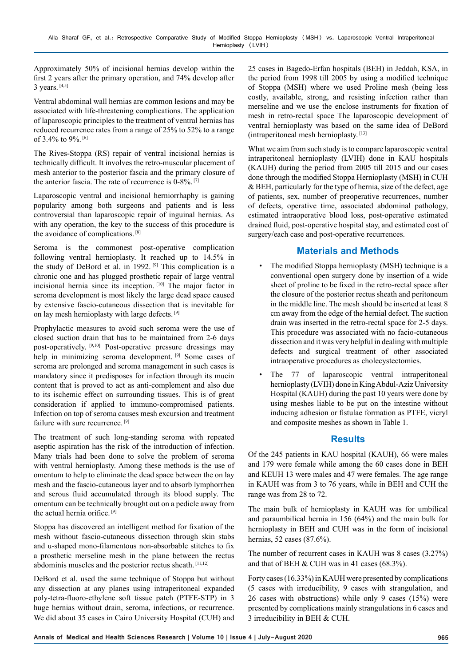Approximately 50% of incisional hernias develop within the first 2 years after the primary operation, and 74% develop after 3 years. [4,5]

Ventral abdominal wall hernias are common lesions and may be associated with life-threatening complications. The application of laparoscopic principles to the treatment of ventral hernias has reduced recurrence rates from a range of 25% to 52% to a range of 3.4% to 9%. [6]

The Rives-Stoppa (RS) repair of ventral incisional hernias is technically difficult. It involves the retro-muscular placement of mesh anterior to the posterior fascia and the primary closure of the anterior fascia. The rate of recurrence is 0-8%. [7]

Laparoscopic ventral and incisional herniorrhaphy is gaining popularity among both surgeons and patients and is less controversial than laparoscopic repair of inguinal hernias. As with any operation, the key to the success of this procedure is the avoidance of complications.<sup>[8]</sup>

Seroma is the commonest post-operative complication following ventral hernioplasty. It reached up to 14.5% in the study of DeBord et al. in 1992. <sup>[9]</sup> This complication is a chronic one and has plugged prosthetic repair of large ventral incisional hernia since its inception. [10] The major factor in seroma development is most likely the large dead space caused by extensive fascio-cutaneous dissection that is inevitable for on lay mesh hernioplasty with large defects. [9]

Prophylactic measures to avoid such seroma were the use of closed suction drain that has to be maintained from 2-6 days post-operatively. [9,10] Post-operative pressure dressings may help in minimizing seroma development. [9] Some cases of seroma are prolonged and seroma management in such cases is mandatory since it predisposes for infection through its mucin content that is proved to act as anti-complement and also due to its ischemic effect on surrounding tissues. This is of great consideration if applied to immuno-compromised patients. Infection on top of seroma causes mesh excursion and treatment failure with sure recurrence. [9]

The treatment of such long-standing seroma with repeated aseptic aspiration has the risk of the introduction of infection. Many trials had been done to solve the problem of seroma with ventral hernioplasty. Among these methods is the use of omentum to help to eliminate the dead space between the on lay mesh and the fascio-cutaneous layer and to absorb lymphorrhea and serous fluid accumulated through its blood supply. The omentum can be technically brought out on a pedicle away from the actual hernia orifice. [9]

Stoppa has discovered an intelligent method for fixation of the mesh without fascio-cutaneous dissection through skin stabs and u-shaped mono-filamentous non-absorbable stitches to fix a prosthetic merseline mesh in the plane between the rectus abdominis muscles and the posterior rectus sheath. [11,12]

DeBord et al. used the same technique of Stoppa but without any dissection at any planes using intraperitoneal expanded poly-tetra-fluoro-ethylene soft tissue patch (PTFE-STP) in 3 huge hernias without drain, seroma, infections, or recurrence. We did about 35 cases in Cairo University Hospital (CUH) and 25 cases in Bagedo-Erfan hospitals (BEH) in Jeddah, KSA, in the period from 1998 till 2005 by using a modified technique of Stoppa (MSH) where we used Proline mesh (being less costly, available, strong, and resisting infection rather than merseline and we use the enclose instruments for fixation of mesh in retro-rectal space The laparoscopic development of ventral hernioplasty was based on the same idea of DeBord (intraperitoneal mesh hernioplasty. [13]

What we aim from such study is to compare laparoscopic ventral intraperitoneal hernioplasty (LVIH) done in KAU hospitals (KAUH) during the period from 2005 till 2015 and our cases done through the modified Stoppa Hernioplasty (MSH) in CUH & BEH, particularly for the type of hernia, size of the defect, age of patients, sex, number of preoperative recurrences, number of defects, operative time, associated abdominal pathology, estimated intraoperative blood loss, post-operative estimated drained fluid, post-operative hospital stay, and estimated cost of surgery/each case and post-operative recurrences.

#### **Materials and Methods**

- The modified Stoppa hernioplasty (MSH) technique is a conventional open surgery done by insertion of a wide sheet of proline to be fixed in the retro-rectal space after the closure of the posterior rectus sheath and peritoneum in the middle line. The mesh should be inserted at least 8 cm away from the edge of the hernial defect. The suction drain was inserted in the retro-rectal space for 2-5 days. This procedure was associated with no facio-cutaneous dissection and it was very helpful in dealing with multiple defects and surgical treatment of other associated intraoperative procedures as cholecystectomies.
- The 77 of laparoscopic ventral intraperitoneal hernioplasty (LVIH) done in King Abdul-Aziz University Hospital (KAUH) during the past 10 years were done by using meshes liable to be put on the intestine without inducing adhesion or fistulae formation as PTFE, vicryl and composite meshes as shown in Table 1.

#### **Results**

Of the 245 patients in KAU hospital (KAUH), 66 were males and 179 were female while among the 60 cases done in BEH and KEUH 13 were males and 47 were females. The age range in KAUH was from 3 to 76 years, while in BEH and CUH the range was from 28 to 72.

The main bulk of hernioplasty in KAUH was for umbilical and paraumbilical hernia in 156 (64%) and the main bulk for hernioplasty in BEH and CUH was in the form of incisional hernias, 52 cases (87.6%).

The number of recurrent cases in KAUH was 8 cases (3.27%) and that of BEH & CUH was in 41 cases (68.3%).

Forty cases (16.33%) in KAUH were presented by complications (5 cases with irreducibility, 9 cases with strangulation, and 26 cases with obstructions) while only 9 cases (15%) were presented by complications mainly strangulations in 6 cases and 3 irreducibility in BEH & CUH.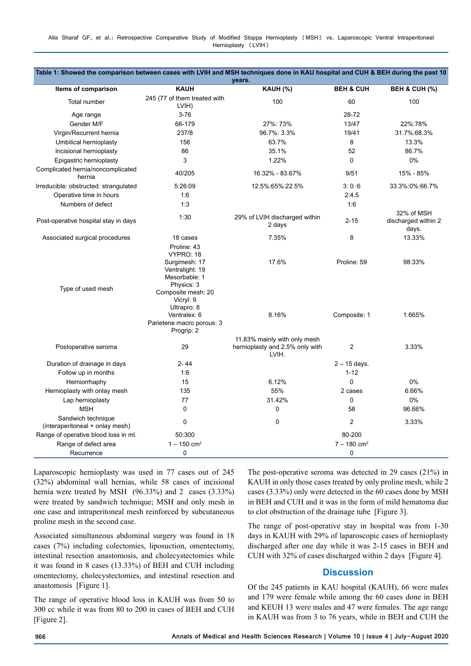| Table 1: Showed the comparison between cases with LVIH and MSH techniques done in KAU hospital and CUH & BEH during the past 10<br>years. |                                                                                                                                                                                            |                                                                          |                                  |                                            |
|-------------------------------------------------------------------------------------------------------------------------------------------|--------------------------------------------------------------------------------------------------------------------------------------------------------------------------------------------|--------------------------------------------------------------------------|----------------------------------|--------------------------------------------|
| Items of comparison                                                                                                                       | <b>KAUH</b>                                                                                                                                                                                | KAUH (%)                                                                 | <b>BEH &amp; CUH</b>             | <b>BEH &amp; CUH (%)</b>                   |
| Total number                                                                                                                              | 245 (77 of them treated with<br>LVIH)                                                                                                                                                      | 100                                                                      | 60                               | 100                                        |
| Age range                                                                                                                                 | $3 - 76$                                                                                                                                                                                   |                                                                          | 28-72                            |                                            |
| Gender M/F                                                                                                                                | 66-179                                                                                                                                                                                     | 27%: 73%                                                                 | 13/47                            | 22%:78%                                    |
| Virgin/Recurrent hernia                                                                                                                   | 237/8                                                                                                                                                                                      | 96.7%: 3.3%                                                              | 19/41                            | 31.7%:68.3%                                |
| Umbilical hernioplasty                                                                                                                    | 156                                                                                                                                                                                        | 63.7%                                                                    | 8                                | 13.3%                                      |
| Incisional hernioplasty                                                                                                                   | 86                                                                                                                                                                                         | 35.1%                                                                    | 52                               | 86.7%                                      |
| Epigastric hernioplasty                                                                                                                   | 3                                                                                                                                                                                          | 1.22%                                                                    | $\mathbf 0$                      | 0%                                         |
| Complicated hernia/noncomplicated<br>hernia                                                                                               | 40/205                                                                                                                                                                                     | 16.32% - 83.67%                                                          | 9/51                             | 15% - 85%                                  |
| Irreducible: obstructed: strangulated                                                                                                     | 5:26:09                                                                                                                                                                                    | 12.5%:65%:22.5%                                                          | 3:0:6                            | 33.3%:0%:66.7%                             |
| Operative time in hours                                                                                                                   | 1:6                                                                                                                                                                                        |                                                                          | 2:4.5                            |                                            |
| Numbers of defect                                                                                                                         | 1:3                                                                                                                                                                                        |                                                                          | 1:6                              |                                            |
| Post-operative hospital stay in days                                                                                                      | 1:30                                                                                                                                                                                       | 29% of LVIH discharged within<br>2 days                                  | $2 - 15$                         | 32% of MSH<br>discharged within 2<br>days. |
| Associated surgical procedures                                                                                                            | 18 cases                                                                                                                                                                                   | 7.35%                                                                    | 8                                | 13.33%                                     |
| Type of used mesh                                                                                                                         | Proline: 43<br>VYPRO: 18<br>Surgimesh: 17<br>Ventralight: 19<br>Mesorbable: 1<br>Physics: 3<br>Composite mesh: 20<br>Vicryl: 9<br>Ultrapro: 8<br>Ventralex: 6<br>Parietene macro porous: 3 | 17.6%<br>8.16%                                                           | Proline: 59<br>Composite: 1      | 98:33%<br>1.665%                           |
| Postoperative seroma<br>Duration of drainage in days                                                                                      | Progrip: 2<br>29<br>2-44                                                                                                                                                                   | 11.83% mainly with only mesh<br>hernioplasty and 2.5% only with<br>LVIH. | $\overline{2}$<br>$2 - 15$ days. | 3.33%                                      |
|                                                                                                                                           | 1:6                                                                                                                                                                                        |                                                                          | $1 - 12$                         |                                            |
| Follow up in months                                                                                                                       |                                                                                                                                                                                            |                                                                          | $\mathbf 0$                      |                                            |
| Herniorrhaphy                                                                                                                             | 15                                                                                                                                                                                         | 6.12%<br>55%                                                             |                                  | 0%                                         |
| Hernioplasty with onlay mesh                                                                                                              | 135                                                                                                                                                                                        |                                                                          | 2 cases<br>$\Omega$              | 6.66%                                      |
| Lap hernioplasty                                                                                                                          | 77                                                                                                                                                                                         | 31.42%                                                                   |                                  | 0%                                         |
| <b>MSH</b>                                                                                                                                | $\Omega$                                                                                                                                                                                   | 0                                                                        | 58                               | 96.66%                                     |
| Sandwich technique<br>(interaperitoneal + onlay mesh)                                                                                     | 0                                                                                                                                                                                          | 0                                                                        | $\overline{c}$                   | 3.33%                                      |
| Range of operative blood loss in ml.                                                                                                      | 50:300                                                                                                                                                                                     |                                                                          | 80-200                           |                                            |
| Range of defect area                                                                                                                      | $1 - 150$ cm <sup>2</sup>                                                                                                                                                                  |                                                                          | $7 - 180$ cm <sup>2</sup>        |                                            |
| Recurrence                                                                                                                                | 0                                                                                                                                                                                          |                                                                          | 0                                |                                            |

Laparoscopic hernioplasty was used in 77 cases out of 245 (32%) abdominal wall hernias, while 58 cases of incisional hernia were treated by MSH (96.33%) and 2 cases (3.33%) were treated by sandwich technique; MSH and only mesh in one case and intraperitoneal mesh reinforced by subcutaneous proline mesh in the second case.

Associated simultaneous abdominal surgery was found in 18 cases (7%) including colectomies, liposuction, omentectomy, intestinal resection anastomosis, and cholecystectomies while it was found in 8 cases (13.33%) of BEH and CUH including omentectomy, cholecystectomies, and intestinal resection and anastomosis [Figure 1].

The range of operative blood loss in KAUH was from 50 to 300 cc while it was from 80 to 200 in cases of BEH and CUH [Figure 2].

The post-operative seroma was detected in 29 cases (21%) in KAUH in only those cases treated by only proline mesh, while 2 cases (3.33%) only were detected in the 60 cases done by MSH in BEH and CUH and it was in the form of mild hematoma due to clot obstruction of the drainage tube [Figure 3].

The range of post-operative stay in hospital was from 1-30 days in KAUH with 29% of laparoscopic cases of hernioplasty discharged after one day while it was 2-15 cases in BEH and CUH with 32% of cases discharged within 2 days [Figure 4].

#### **Discussion**

Of the 245 patients in KAU hospital (KAUH), 66 were males and 179 were female while among the 60 cases done in BEH and KEUH 13 were males and 47 were females. The age range in KAUH was from 3 to 76 years, while in BEH and CUH the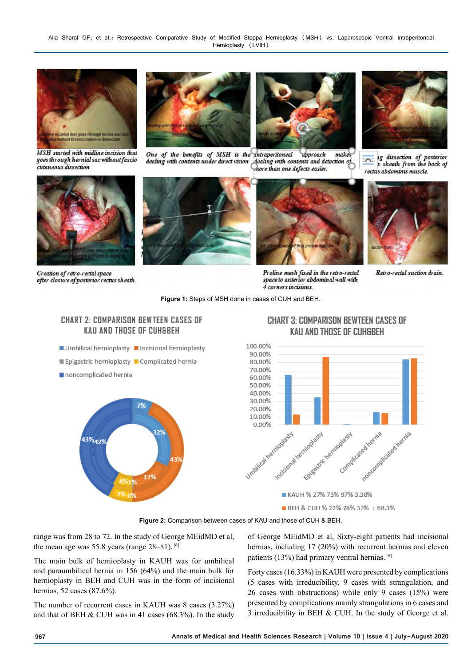

MSH started with midline incision that goes through hernial sac without fascio cutaneous dissection



One of the benefits of MSH is the intraperitoneal upproach makes dealing with contents under direct vision dealing with contents and detection of hore than one defects easier.



1g dissection of posterior  $\overline{\mathbf{r}}$ s sheath from the back of rectus abdominis muscle.



Creation of retro-rectal space after closure of posterior rectus sheath.





Proline mesh fixed in the retro-rectal space to anterior abdominal wall with 4 corners incisions.



Retro-rectal suction drain.

**Figure 1:** Steps of MSH done in cases of CUH and BEH.

#### **CHART 2: COMPARISON BEWTEEN CASES OF KAU AND THOSE OF CUHSBEH**

- Umbilical hernioplasty Incisional hernioplasty
- Epigastric hernioplasty Complicated hernia
- noncomplicated hernia



### **CHART 3: COMPARISON BEWTEEN CASES OF** KAU AND THOSE OF CUH&BEH



**Figure 2:** Comparison between cases of KAU and those of CUH & BEH.

range was from 28 to 72. In the study of George MEidMD et al, the mean age was 55.8 years (range 28–81). [6]

The main bulk of hernioplasty in KAUH was for umbilical and paraumbilical hernia in 156 (64%) and the main bulk for hernioplasty in BEH and CUH was in the form of incisional hernias, 52 cases (87.6%).

The number of recurrent cases in KAUH was 8 cases (3.27%) and that of BEH  $&$  CUH was in 41 cases (68.3%). In the study of George MEidMD et al, Sixty-eight patients had incisional hernias, including 17 (20%) with recurrent hernias and eleven patients (13%) had primary ventral hernias. [6]

Forty cases (16.33%) in KAUH were presented by complications (5 cases with irreducibility, 9 cases with strangulation, and 26 cases with obstructions) while only 9 cases (15%) were presented by complications mainly strangulations in 6 cases and 3 irreducibility in BEH & CUH. In the study of George et al.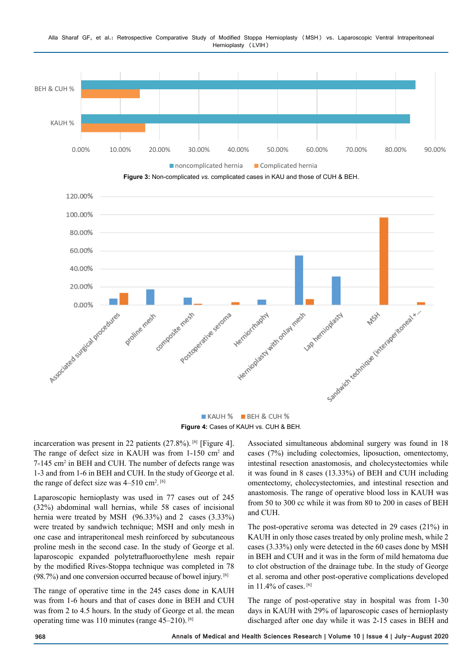

#### Alla Sharaf GF, et al.: Retrospective Comparative Study of Modified Stoppa Hernioplasty (MSH) vs. Laparoscopic Ventral Intraperitoneal Hernioplasty (LVIH)

**Figure 4:** Cases of KAUH vs. CUH & BEH.

incarceration was present in 22 patients  $(27.8\%)$ . <sup>[6]</sup> [Figure 4]. The range of defect size in KAUH was from 1-150 cm<sup>2</sup> and 7-145 cm<sup>2</sup> in BEH and CUH. The number of defects range was 1-3 and from 1-6 in BEH and CUH. In the study of George et al. the range of defect size was  $4-510$  cm<sup>2</sup>.<sup>[6]</sup>

Laparoscopic hernioplasty was used in 77 cases out of 245 (32%) abdominal wall hernias, while 58 cases of incisional hernia were treated by MSH (96.33%) and 2 cases (3.33%) were treated by sandwich technique; MSH and only mesh in one case and intraperitoneal mesh reinforced by subcutaneous proline mesh in the second case. In the study of George et al. laparoscopic expanded polytetrafluoroethylene mesh repair by the modified Rives-Stoppa technique was completed in 78  $(98.7%)$  and one conversion occurred because of bowel injury. [6]

The range of operative time in the 245 cases done in KAUH was from 1-6 hours and that of cases done in BEH and CUH was from 2 to 4.5 hours. In the study of George et al. the mean operating time was 110 minutes (range 45–210). [6]

Associated simultaneous abdominal surgery was found in 18 cases (7%) including colectomies, liposuction, omentectomy, intestinal resection anastomosis, and cholecystectomies while it was found in 8 cases (13.33%) of BEH and CUH including omentectomy, cholecystectomies, and intestinal resection and anastomosis. The range of operative blood loss in KAUH was from 50 to 300 cc while it was from 80 to 200 in cases of BEH and CUH.

The post-operative seroma was detected in 29 cases (21%) in KAUH in only those cases treated by only proline mesh, while 2 cases (3.33%) only were detected in the 60 cases done by MSH in BEH and CUH and it was in the form of mild hematoma due to clot obstruction of the drainage tube. In the study of George et al. seroma and other post-operative complications developed in 11.4% of cases. [6]

The range of post-operative stay in hospital was from 1-30 days in KAUH with 29% of laparoscopic cases of hernioplasty discharged after one day while it was 2-15 cases in BEH and